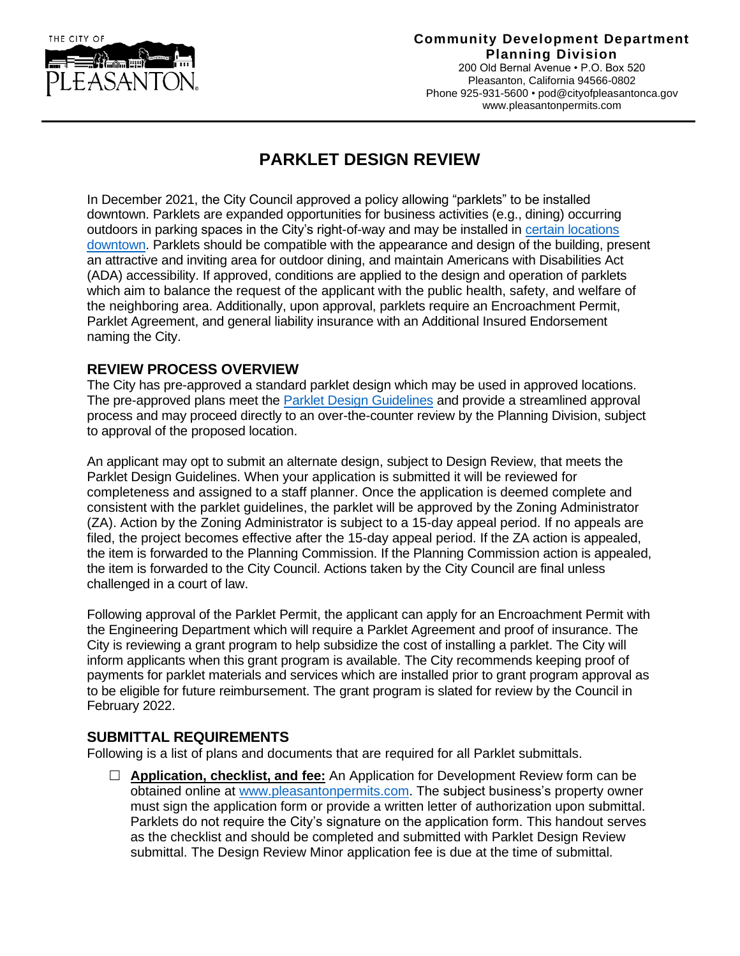

## **Community Development Department Planning Division**

200 Old Bernal Avenue • P.O. Box 520 Pleasanton, California 94566-0802 Phone 925-931-5600 [• pod@cityofpleasantonca.gov](mailto:pod@cityofpleasantonca.gov) www.pleasantonpermits.com

## **PARKLET DESIGN REVIEW**

In December 2021, the City Council approved a policy allowing "parklets" to be installed downtown. Parklets are expanded opportunities for business activities (e.g., dining) occurring outdoors in parking spaces in the City's right-of-way and may be installed in [certain locations](http://www.cityofpleasantonca.gov/civicax/filebank/blobdload.aspx?BlobID=35979)  [downtown.](http://www.cityofpleasantonca.gov/civicax/filebank/blobdload.aspx?BlobID=35979) Parklets should be compatible with the appearance and design of the building, present an attractive and inviting area for outdoor dining, and maintain Americans with Disabilities Act (ADA) accessibility. If approved, conditions are applied to the design and operation of parklets which aim to balance the request of the applicant with the public health, safety, and welfare of the neighboring area. Additionally, upon approval, parklets require an Encroachment Permit, Parklet Agreement, and general liability insurance with an Additional Insured Endorsement naming the City.

## **REVIEW PROCESS OVERVIEW**

The City has pre-approved a standard parklet design which may be used in approved locations. The pre-approved plans meet the [Parklet Design Guidelines](http://www.cityofpleasantonca.gov/civicax/filebank/blobdload.aspx?BlobID=35980) and provide a streamlined approval process and may proceed directly to an over-the-counter review by the Planning Division, subject to approval of the proposed location.

An applicant may opt to submit an alternate design, subject to Design Review, that meets the Parklet Design Guidelines. When your application is submitted it will be reviewed for completeness and assigned to a staff planner. Once the application is deemed complete and consistent with the parklet guidelines, the parklet will be approved by the Zoning Administrator (ZA). Action by the Zoning Administrator is subject to a 15-day appeal period. If no appeals are filed, the project becomes effective after the 15-day appeal period. If the ZA action is appealed, the item is forwarded to the Planning Commission. If the Planning Commission action is appealed, the item is forwarded to the City Council. Actions taken by the City Council are final unless challenged in a court of law.

Following approval of the Parklet Permit, the applicant can apply for an Encroachment Permit with the Engineering Department which will require a Parklet Agreement and proof of insurance. The City is reviewing a grant program to help subsidize the cost of installing a parklet. The City will inform applicants when this grant program is available. The City recommends keeping proof of payments for parklet materials and services which are installed prior to grant program approval as to be eligible for future reimbursement. The grant program is slated for review by the Council in February 2022.

## **SUBMITTAL REQUIREMENTS**

Following is a list of plans and documents that are required for all Parklet submittals.

□ **Application, checklist, and fee:** An Application for Development Review form can be obtained online at [www.pleasantonpermits.com.](file:///C:/Users/mcanales/AppData/Roaming/Microsoft/Word/www.pleasantonpermits.com) The subject business's property owner must sign the application form or provide a written letter of authorization upon submittal. Parklets do not require the City's signature on the application form. This handout serves as the checklist and should be completed and submitted with Parklet Design Review submittal. The Design Review Minor application fee is due at the time of submittal.